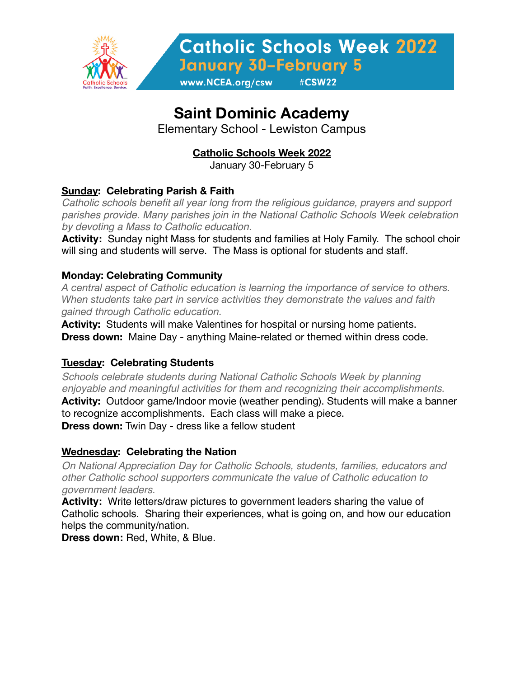

**Catholic Schools Week 2022 January 30-February 5** 

www.NCEA.org/csw

# **Saint Dominic Academy**

Elementary School - Lewiston Campus

## **Catholic Schools Week 2022**

January 30-February 5

### **Sunday: Celebrating Parish & Faith**

*Catholic schools benefit all year long from the religious guidance, prayers and support parishes provide. Many parishes join in the National Catholic Schools Week celebration by devoting a Mass to Catholic education.*

**Activity:** Sunday night Mass for students and families at Holy Family. The school choir will sing and students will serve. The Mass is optional for students and staff.

#### **Monday: Celebrating Community**

*A central aspect of Catholic education is learning the importance of service to others. When students take part in service activities they demonstrate the values and faith gained through Catholic education.* 

**Activity:** Students will make Valentines for hospital or nursing home patients. **Dress down:** Maine Day - anything Maine-related or themed within dress code.

#### **Tuesday: Celebrating Students**

*Schools celebrate students during National Catholic Schools Week by planning enjoyable and meaningful activities for them and recognizing their accomplishments.* 

**Activity:** Outdoor game/Indoor movie (weather pending). Students will make a banner to recognize accomplishments. Each class will make a piece.

**Dress down:** Twin Day - dress like a fellow student

#### **Wednesday: Celebrating the Nation**

*On National Appreciation Day for Catholic Schools, students, families, educators and other Catholic school supporters communicate the value of Catholic education to government leaders.* 

**Activity:** Write letters/draw pictures to government leaders sharing the value of Catholic schools. Sharing their experiences, what is going on, and how our education helps the community/nation.

**Dress down:** Red, White, & Blue.